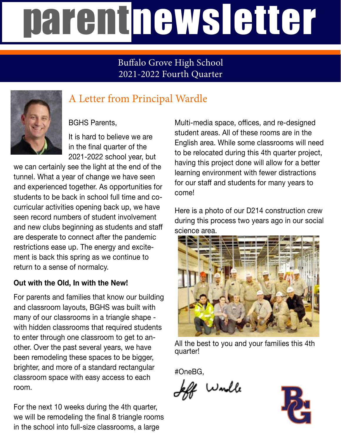# parentnewsletter

#### Buffalo Grove High School 2021-2022 Fourth Quarter



### A Letter from Principal Wardle

BGHS Parents,

It is hard to believe we are in the final quarter of the 2021-2022 school year, but

we can certainly see the light at the end of the tunnel. What a year of change we have seen and experienced together. As opportunities for students to be back in school full time and cocurricular activities opening back up, we have seen record numbers of student involvement and new clubs beginning as students and staff are desperate to connect after the pandemic restrictions ease up. The energy and excitement is back this spring as we continue to return to a sense of normalcy.

#### **Out with the Old, In with the New!**

For parents and families that know our building and classroom layouts, BGHS was built with many of our classrooms in a triangle shape with hidden classrooms that required students to enter through one classroom to get to another. Over the past several years, we have been remodeling these spaces to be bigger, brighter, and more of a standard rectangular classroom space with easy access to each room.

For the next 10 weeks during the 4th quarter, we will be remodeling the final 8 triangle rooms in the school into full-size classrooms, a large

Multi-media space, offices, and re-designed student areas. All of these rooms are in the English area. While some classrooms will need to be relocated during this 4th quarter project, having this project done will allow for a better learning environment with fewer distractions for our staff and students for many years to come!

Here is a photo of our D214 construction crew during this process two years ago in our social science area.



All the best to you and your families this 4th quarter!

#OneBG,

! Wordle

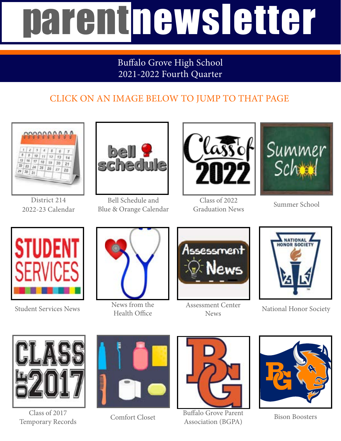# parentnewsletter

#### Buffalo Grove High School 2021-2022 Fourth Quarter

### CLICK ON AN IMAGE BELOW TO JUMP TO THAT PAGE



District 214 2022-23 Calendar



Bell Schedule and Blue & Orange Calendar



Class of 2022 Graduation News



Summer School



Student Services News



News from the Health Office



Assessment Center News



National Honor Society



Class of 2017 Temporary Records





Comfort Closet Buffalo Grove Parent Association (BGPA)



Bison Boosters